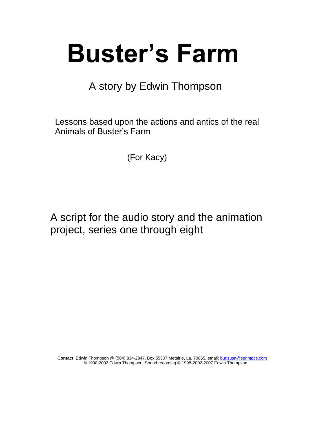# **Buster's Farm**

A story by Edwin Thompson

 Lessons based upon the actions and antics of the real Animals of Buster's Farm

(For Kacy)

 A script for the audio story and the animation project, series one through eight

 **Contact**: Edwin Thompson @ (504) 834-2847, Box 55307 Metairie, La. 70055, email[: bugsusa@sprintpcs.com](mailto:bugsusa@sprintpcs.com) © 1998-2002 Edwin Thompson, Sound recording © 1998-2002-2007 Edwin Thompson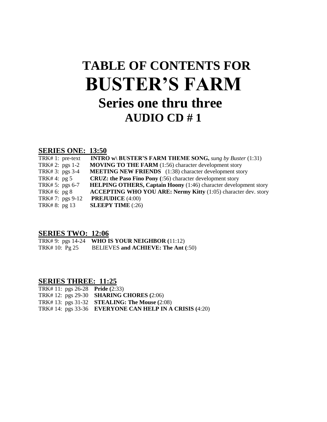# **TABLE OF CONTENTS FOR BUSTER'S FARM Series one thru three AUDIO CD # 1**

#### **SERIES ONE: 13:50**

| TRK#1: pre-text | <b>INTRO w\ BUSTER'S FARM THEME SONG, sung by Buster (1:31)</b>         |
|-----------------|-------------------------------------------------------------------------|
| TRK# 2: pgs 1-2 | <b>MOVING TO THE FARM</b> (1:56) character development story            |
| TRK# 3: pgs 3-4 | <b>MEETING NEW FRIENDS</b> (1:38) character development story           |
| TRK# $4:$ pg 5  | <b>CRUZ: the Paso Fino Pony</b> (:56) character development story       |
| TRK# 5: pgs 6-7 | <b>HELPING OTHERS, Captain Hoony</b> (1:46) character development story |
| TRK# 6: $pg 8$  | <b>ACCEPTING WHO YOU ARE: Nermy Kitty</b> (1:05) character dev. story   |
| TRK#7: pgs 9-12 | <b>PREJUDICE</b> (4:00)                                                 |
| TRK#8: pg 13    | <b>SLEEPY TIME</b> $(.26)$                                              |

#### **SERIES TWO: 12:06**

|                | TRK#9: pgs 14-24 WHO IS YOUR NEIGHBOR $(11:12)$ |
|----------------|-------------------------------------------------|
| TRK# 10: Pg 25 | <b>BELIEVES and ACHIEVE: The Ant (:50)</b>      |

#### **SERIES THREE: 11:25**

| TRK# 11: pgs 26-28 Pride $(2:33)$ |                                                           |
|-----------------------------------|-----------------------------------------------------------|
|                                   | TRK# 12: pgs 29-30 <b>SHARING CHORES</b> (2:06)           |
|                                   | TRK# 13: pgs 31-32 STEALING: The Mouse $(2:08)$           |
|                                   | TRK# 14: $pgs 33-36$ EVERYONE CAN HELP IN A CRISIS (4:20) |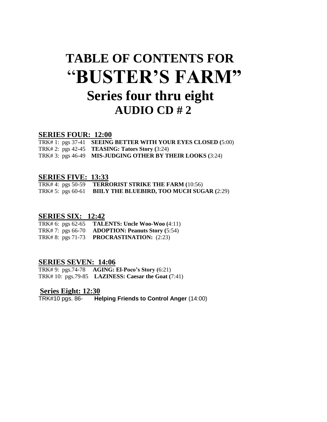# **TABLE OF CONTENTS FOR** "**BUSTER'S FARM" Series four thru eight AUDIO CD # 2**

#### **SERIES FOUR: 12:00**

| TRK# 1: pgs $37-41$ SEEING BETTER WITH YOUR EYES CLOSED $(5:00)$ |
|------------------------------------------------------------------|
| TRK# 2: $pgs 42-45$ TEASING: Tators Story (3:24)                 |
| TRK#3: pgs 46-49 MIS-JUDGING OTHER BY THEIR LOOKS (3:24)         |

#### **SERIES FIVE: 13:33**

TRK# 4: pgs 50-59 **TERRORIST STRIKE THE FARM (**10:56) TRK# 5: pgs 60-61 **BIILY THE BLUEBIRD, TOO MUCH SUGAR (**2:29)

#### **SERIES SIX: 12:42**

TRK# 6: pgs 62-65 **TALENTS: Uncle Woo-Woo (**4:11) TRK# 7: pgs 66-70 **ADOPTION: Peanuts Story (**5:54) TRK# 8: pgs 71-73 **PROCRASTINATION:** (2:23)

#### **SERIES SEVEN: 14:06**

TRK# 9: pgs.74-78 **AGING: El-Poco's Story (**6:21) TRK# 10: pgs.79-85 **LAZINESS: Caesar the Goat (**7:41)

#### **Series Eight: 12:30**

TRK#10 pgs. 86- **Helping Friends to Control Anger** (14:00)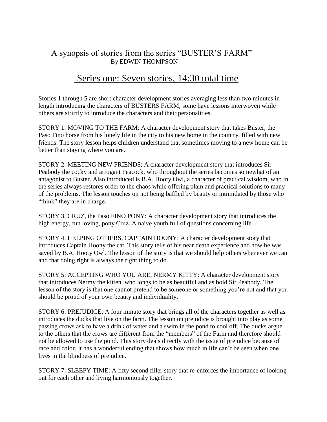#### A synopsis of stories from the series "BUSTER'S FARM" By EDWIN THOMPSON

### Series one: Seven stories, 14:30 total time

Stories 1 through 5 are short character development stories averaging less than two minutes in length introducing the characters of BUSTERS FARM; some have lessons interwoven while others are strictly to introduce the characters and their personalities.

STORY 1. MOVING TO THE FARM: A character development story that takes Buster, the Paso Fino horse from his lonely life in the city to his new home in the country, filled with new friends. The story lesson helps children understand that sometimes moving to a new home can be better than staying where you are.

STORY 2. MEETING NEW FRIENDS: A character development story that introduces Sir Peabody the cocky and arrogant Peacock, who throughout the series becomes somewhat of an antagonist to Buster. Also introduced is B.A. Hooty Owl, a character of practical wisdom, who in the series always restores order to the chaos while offering plain and practical solutions to many of the problems. The lesson touches on not being baffled by beauty or intimidated by those who "think" they are in charge.

STORY 3. CRUZ, the Paso FINO PONY: A character development story that introduces the high energy, fun loving, pony Cruz. A naive youth full of questions concerning life.

STORY 4. HELPING OTHERS, CAPTAIN HOONY: A character development story that introduces Captain Hoony the cat. This story tells of his near death experience and how he was saved by B.A. Hooty Owl. The lesson of the story is that we should help others whenever we can and that doing right is always the right thing to do.

STORY 5: ACCEPTING WHO YOU ARE, NERMY KITTY: A character development story that introduces Nermy the kitten, who longs to be as beautiful and as bold Sir Peabody. The lesson of the story is that one cannot pretend to be someone or something you're not and that you should be proud of your own beauty and individuality.

STORY 6: PREJUDICE: A four minute story that brings all of the characters together as well as introduces the ducks that live on the farm. The lesson on prejudice is brought into play as some passing crows ask to have a drink of water and a swim in the pond to cool off. The ducks argue to the others that the crows are different from the "members" of the Farm and therefore should not be allowed to use the pond. This story deals directly with the issue of prejudice because of race and color. It has a wonderful ending that shows how much in life can't be seen when one lives in the blindness of prejudice.

STORY 7: SLEEPY TIME: A fifty second filler story that re-enforces the importance of looking out for each other and living harmoniously together.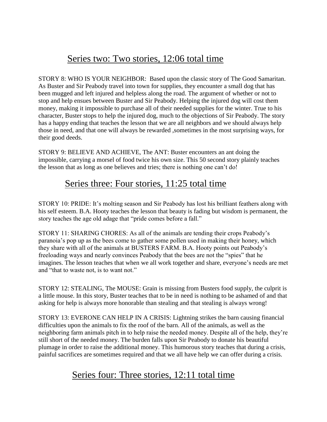# Series two: Two stories, 12:06 total time

STORY 8: WHO IS YOUR NEIGHBOR: Based upon the classic story of The Good Samaritan. As Buster and Sir Peabody travel into town for supplies, they encounter a small dog that has been mugged and left injured and helpless along the road. The argument of whether or not to stop and help ensues between Buster and Sir Peabody. Helping the injured dog will cost them money, making it impossible to purchase all of their needed supplies for the winter. True to his character, Buster stops to help the injured dog, much to the objections of Sir Peabody. The story has a happy ending that teaches the lesson that we are all neighbors and we should always help those in need, and that one will always be rewarded ,sometimes in the most surprising ways, for their good deeds.

STORY 9: BELIEVE AND ACHIEVE, The ANT: Buster encounters an ant doing the impossible, carrying a morsel of food twice his own size. This 50 second story plainly teaches the lesson that as long as one believes and tries; there is nothing one can't do!

## Series three: Four stories, 11:25 total time

STORY 10: PRIDE: It's molting season and Sir Peabody has lost his brilliant feathers along with his self esteem. B.A. Hooty teaches the lesson that beauty is fading but wisdom is permanent, the story teaches the age old adage that "pride comes before a fall."

STORY 11: SHARING CHORES: As all of the animals are tending their crops Peabody's paranoia's pop up as the bees come to gather some pollen used in making their honey, which they share with all of the animals at BUSTERS FARM. B.A. Hooty points out Peabody's freeloading ways and nearly convinces Peabody that the bees are not the "spies" that he imagines. The lesson teaches that when we all work together and share, everyone's needs are met and "that to waste not, is to want not."

STORY 12: STEALING, The MOUSE: Grain is missing from Busters food supply, the culprit is a little mouse. In this story, Buster teaches that to be in need is nothing to be ashamed of and that asking for help is always more honorable than stealing and that stealing is always wrong!

STORY 13: EVERONE CAN HELP IN A CRISIS: Lightning strikes the barn causing financial difficulties upon the animals to fix the roof of the barn. All of the animals, as well as the neighboring farm animals pitch in to help raise the needed money. Despite all of the help, they're still short of the needed money. The burden falls upon Sir Peabody to donate his beautiful plumage in order to raise the additional money. This humorous story teaches that during a crisis, painful sacrifices are sometimes required and that we all have help we can offer during a crisis.

# Series four: Three stories, 12:11 total time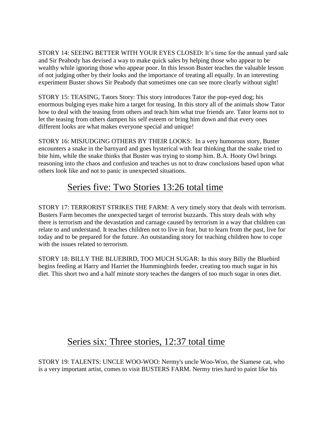STORY 14: SEEING BETTER WITH YOUR EYES CLOSED: It's time for the annual yard sale and Sir Peabody has devised a way to make quick sales by helping those who appear to be wealthy while ignoring those who appear poor. In this lesson Buster teaches the valuable lesson of not judging other by their looks and the importance of treating all equally. In an interesting experiment Buster shows Sir Peabody that sometimes one can see more clearly without sight!

STORY 15: TEASING, Tators Story: This story introduces Tator the pop-eyed dog; his enormous bulging eyes make him a target for teasing. In this story all of the animals show Tator how to deal with the teasing from others and teach him what true friends are. Tator learns not to let the teasing from others dampen his self esteem or bring him down and that every ones different looks are what makes everyone special and unique!

STORY 16: MISJUDGING OTHERS BY THEIR LOOKS: In a very humorous story, Buster encounters a snake in the barnyard and goes hysterical with fear thinking that the snake tried to bite him, while the snake thinks that Buster was trying to stomp him. B.A. Hooty Owl brings reasoning into the chaos and confusion and teaches us not to draw conclusions based upon what others look like and not to panic in unexpected situations.

# Series five: Two Stories 13:26 total time

STORY 17: TERRORIST STRIKES THE FARM: A very timely story that deals with terrorism. Busters Farm becomes the unexpected target of terrorist buzzards. This story deals with why there is terrorism and the devastation and carnage caused by terrorism in a way that children can relate to and understand. It teaches children not to live in fear, but to learn from the past, live for today and to be prepared for the future. An outstanding story for teaching children how to cope with the issues related to terrorism.

STORY 18: BILLY THE BLUEBIRD, TOO MUCH SUGAR: In this story Billy the Bluebird begins feeding at Harry and Harriet the Hummingbirds feeder, creating too much sugar in his diet. This short two and a half minute story teaches the dangers of too much sugar in ones diet.

# Series six: Three stories, 12:37 total time

STORY 19: TALENTS: UNCLE WOO-WOO: Nermy's uncle Woo-Woo, the Siamese cat, who is a very important artist, comes to visit BUSTERS FARM. Nermy tries hard to paint like his